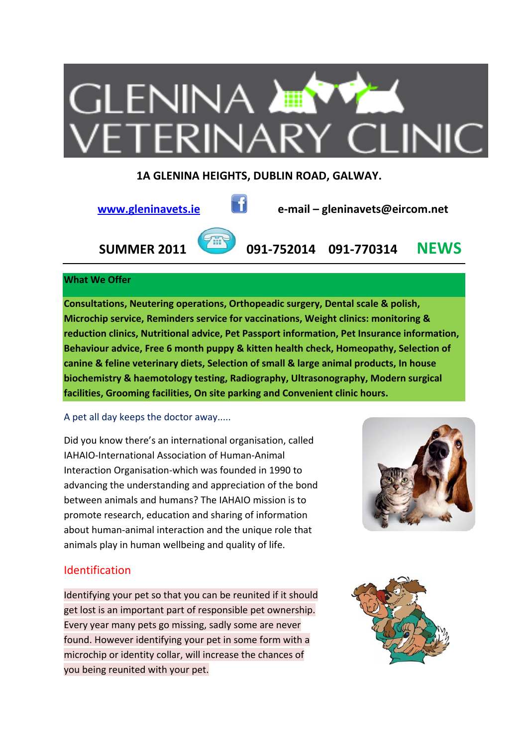

# **1A GLENINA HEIGHTS, DUBLIN ROAD, GALWAY.**



 **www.gleninavets.ie e‐mail – gleninavets@eircom.net**

 **SUMMER 2011 091‐752014 091‐770314 NEWS**

# **What We Offer**

**Consultations, Neutering operations, Orthopeadic surgery, Dental scale & polish, Microchip service, Reminders service for vaccinations, Weight clinics: monitoring & reduction clinics, Nutritional advice, Pet Passport information, Pet Insurance information, Behaviour advice, Free 6 month puppy & kitten health check, Homeopathy, Selection of canine & feline veterinary diets, Selection of small & large animal products, In house biochemistry & haemotology testing, Radiography, Ultrasonography, Modern surgical facilities, Grooming facilities, On site parking and Convenient clinic hours.** 

# A pet all day keeps the doctor away.....

Did you know there's an international organisation, called IAHAIO‐International Association of Human‐Animal Interaction Organisation‐which was founded in 1990 to advancing the understanding and appreciation of the bond between animals and humans? The IAHAIO mission is to promote research, education and sharing of information about human-animal interaction and the unique role that animals play in human wellbeing and quality of life.



# Identification

Identifying your pet so that you can be reunited if it should get lost is an important part of responsible pet ownership. Every year many pets go missing, sadly some are never found. However identifying your pet in some form with a microchip or identity collar, will increase the chances of you being reunited with your pet.